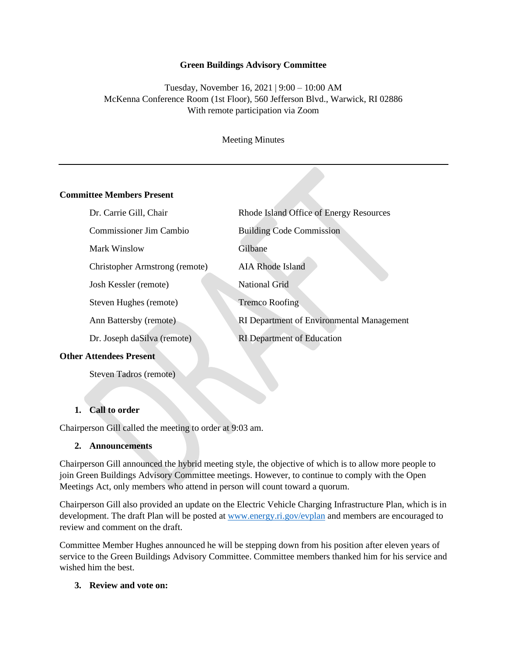#### **Green Buildings Advisory Committee**

## Tuesday, November 16, 2021 | 9:00 – 10:00 AM McKenna Conference Room (1st Floor), 560 Jefferson Blvd., Warwick, RI 02886 With remote participation via Zoom

Meeting Minutes

#### **Committee Members Present**

| Dr. Carrie Gill, Chair         | Rhode Island Office of Energy Resources   |
|--------------------------------|-------------------------------------------|
| Commissioner Jim Cambio        | <b>Building Code Commission</b>           |
| Mark Winslow                   | Gilbane                                   |
| Christopher Armstrong (remote) | AIA Rhode Island                          |
| Josh Kessler (remote)          | National Grid                             |
| Steven Hughes (remote)         | <b>Tremco Roofing</b>                     |
| Ann Battersby (remote)         | RI Department of Environmental Management |
| Dr. Joseph daSilva (remote)    | <b>RI</b> Department of Education         |
|                                |                                           |

#### **Other Attendees Present**

Steven Tadros (remote)

#### **1. Call to order**

Chairperson Gill called the meeting to order at 9:03 am.

#### **2. Announcements**

Chairperson Gill announced the hybrid meeting style, the objective of which is to allow more people to join Green Buildings Advisory Committee meetings. However, to continue to comply with the Open Meetings Act, only members who attend in person will count toward a quorum.

Chairperson Gill also provided an update on the Electric Vehicle Charging Infrastructure Plan, which is in development. The draft Plan will be posted at [www.energy.ri.gov/evplan](http://www.energy.ri.gov/evplan) and members are encouraged to review and comment on the draft.

Committee Member Hughes announced he will be stepping down from his position after eleven years of service to the Green Buildings Advisory Committee. Committee members thanked him for his service and wished him the best.

### **3. Review and vote on:**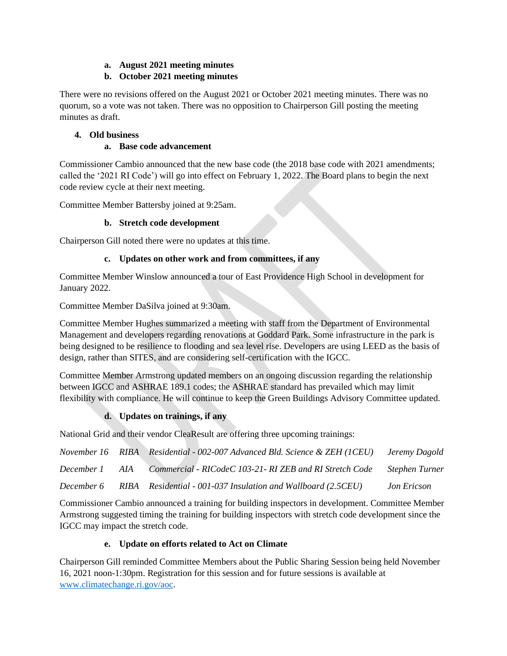## **a. August 2021 meeting minutes**

## **b. October 2021 meeting minutes**

There were no revisions offered on the August 2021 or October 2021 meeting minutes. There was no quorum, so a vote was not taken. There was no opposition to Chairperson Gill posting the meeting minutes as draft.

## **4. Old business**

### **a. Base code advancement**

Commissioner Cambio announced that the new base code (the 2018 base code with 2021 amendments; called the '2021 RI Code') will go into effect on February 1, 2022. The Board plans to begin the next code review cycle at their next meeting.

Committee Member Battersby joined at 9:25am.

### **b. Stretch code development**

Chairperson Gill noted there were no updates at this time.

## **c. Updates on other work and from committees, if any**

Committee Member Winslow announced a tour of East Providence High School in development for January 2022.

Committee Member DaSilva joined at 9:30am.

Committee Member Hughes summarized a meeting with staff from the Department of Environmental Management and developers regarding renovations at Goddard Park. Some infrastructure in the park is being designed to be resilience to flooding and sea level rise. Developers are using LEED as the basis of design, rather than SITES, and are considering self-certification with the IGCC.

Committee Member Armstrong updated members on an ongoing discussion regarding the relationship between IGCC and ASHRAE 189.1 codes; the ASHRAE standard has prevailed which may limit flexibility with compliance. He will continue to keep the Green Buildings Advisory Committee updated.

# **d. Updates on trainings, if any**

National Grid and their vendor CleaResult are offering three upcoming trainings:

|            |     | November 16 RIBA Residential - 002-007 Advanced Bld. Science & ZEH (1CEU) | Jeremy Dagold  |
|------------|-----|---------------------------------------------------------------------------|----------------|
| December 1 | AIA | Commercial - RICodeC 103-21- RI ZEB and RI Stretch Code                   | Stephen Turner |
| December 6 |     | RIBA Residential - 001-037 Insulation and Wallboard (2.5CEU)              | Jon Ericson    |

Commissioner Cambio announced a training for building inspectors in development. Committee Member Armstrong suggested timing the training for building inspectors with stretch code development since the IGCC may impact the stretch code.

# **e. Update on efforts related to Act on Climate**

Chairperson Gill reminded Committee Members about the Public Sharing Session being held November 16, 2021 noon-1:30pm. Registration for this session and for future sessions is available at [www.climatechange.ri.gov/aoc.](http://www.climatechange.ri.gov/aoc)